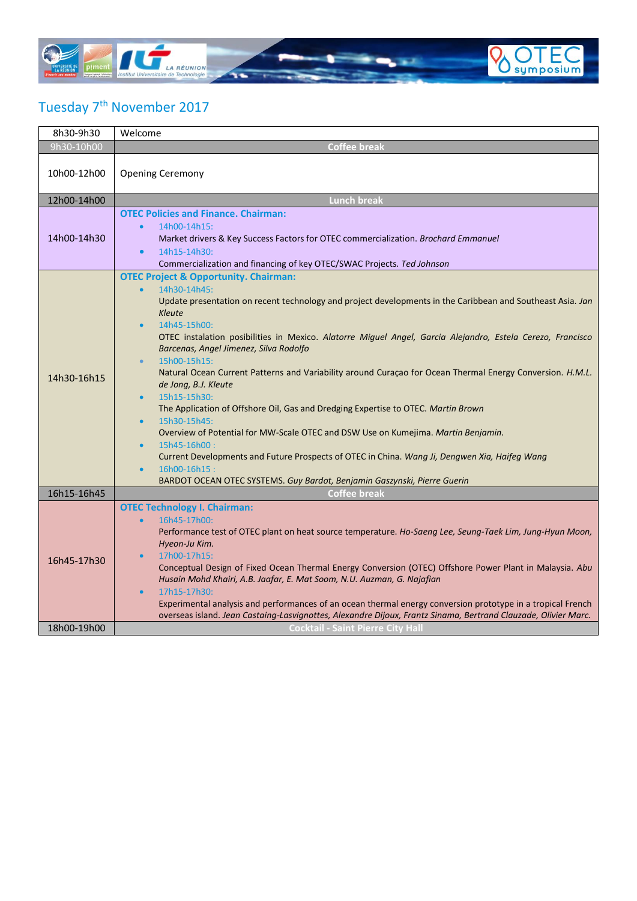

## Tuesday 7<sup>th</sup> November 2017

| 8h30-9h30   | Welcome                                                                                                                                                                                                                                                                                                                                                                                                                                                                                                                                                                                                                                                                                                                                                                                                                                                                                                                                                                       |
|-------------|-------------------------------------------------------------------------------------------------------------------------------------------------------------------------------------------------------------------------------------------------------------------------------------------------------------------------------------------------------------------------------------------------------------------------------------------------------------------------------------------------------------------------------------------------------------------------------------------------------------------------------------------------------------------------------------------------------------------------------------------------------------------------------------------------------------------------------------------------------------------------------------------------------------------------------------------------------------------------------|
| 9h30-10h00  | <b>Coffee break</b>                                                                                                                                                                                                                                                                                                                                                                                                                                                                                                                                                                                                                                                                                                                                                                                                                                                                                                                                                           |
| 10h00-12h00 | <b>Opening Ceremony</b>                                                                                                                                                                                                                                                                                                                                                                                                                                                                                                                                                                                                                                                                                                                                                                                                                                                                                                                                                       |
| 12h00-14h00 | <b>Lunch break</b>                                                                                                                                                                                                                                                                                                                                                                                                                                                                                                                                                                                                                                                                                                                                                                                                                                                                                                                                                            |
| 14h00-14h30 | <b>OTEC Policies and Finance. Chairman:</b><br>14h00-14h15:<br>Market drivers & Key Success Factors for OTEC commercialization. Brochard Emmanuel<br>14h15-14h30:<br>$\bullet$<br>Commercialization and financing of key OTEC/SWAC Projects. Ted Johnson                                                                                                                                                                                                                                                                                                                                                                                                                                                                                                                                                                                                                                                                                                                      |
| 14h30-16h15 | <b>OTEC Project &amp; Opportunity. Chairman:</b><br>14h30-14h45:<br>Update presentation on recent technology and project developments in the Caribbean and Southeast Asia. Jan<br><b>Kleute</b><br>14h45-15h00:<br>$\bullet$<br>OTEC instalation posibilities in Mexico. Alatorre Miguel Angel, Garcia Alejandro, Estela Cerezo, Francisco<br>Barcenas, Angel Jimenez, Silva Rodolfo<br>15h00-15h15:<br>$\bullet$<br>Natural Ocean Current Patterns and Variability around Curaçao for Ocean Thermal Energy Conversion. H.M.L.<br>de Jong, B.J. Kleute<br>15h15-15h30:<br>The Application of Offshore Oil, Gas and Dredging Expertise to OTEC. Martin Brown<br>15h30-15h45:<br>Overview of Potential for MW-Scale OTEC and DSW Use on Kumejima. Martin Benjamin.<br>15h45-16h00:<br>Current Developments and Future Prospects of OTEC in China. Wang Ji, Dengwen Xia, Haifeg Wang<br>16h00-16h15:<br>BARDOT OCEAN OTEC SYSTEMS. Guy Bardot, Benjamin Gaszynski, Pierre Guerin |
| 16h15-16h45 | Coffee break                                                                                                                                                                                                                                                                                                                                                                                                                                                                                                                                                                                                                                                                                                                                                                                                                                                                                                                                                                  |
| 16h45-17h30 | <b>OTEC Technology I. Chairman:</b><br>16h45-17h00:<br>Performance test of OTEC plant on heat source temperature. Ho-Saeng Lee, Seung-Taek Lim, Jung-Hyun Moon,<br>Hyeon-Ju Kim.<br>17h00-17h15:<br>$\bullet$<br>Conceptual Design of Fixed Ocean Thermal Energy Conversion (OTEC) Offshore Power Plant in Malaysia. Abu<br>Husain Mohd Khairi, A.B. Jaafar, E. Mat Soom, N.U. Auzman, G. Najafian<br>17h15-17h30:<br>$\bullet$<br>Experimental analysis and performances of an ocean thermal energy conversion prototype in a tropical French<br>overseas island. Jean Castaing-Lasvignottes, Alexandre Dijoux, Frantz Sinama, Bertrand Clauzade, Olivier Marc.                                                                                                                                                                                                                                                                                                              |
| 18h00-19h00 | <b>Cocktail - Saint Pierre City Hall</b>                                                                                                                                                                                                                                                                                                                                                                                                                                                                                                                                                                                                                                                                                                                                                                                                                                                                                                                                      |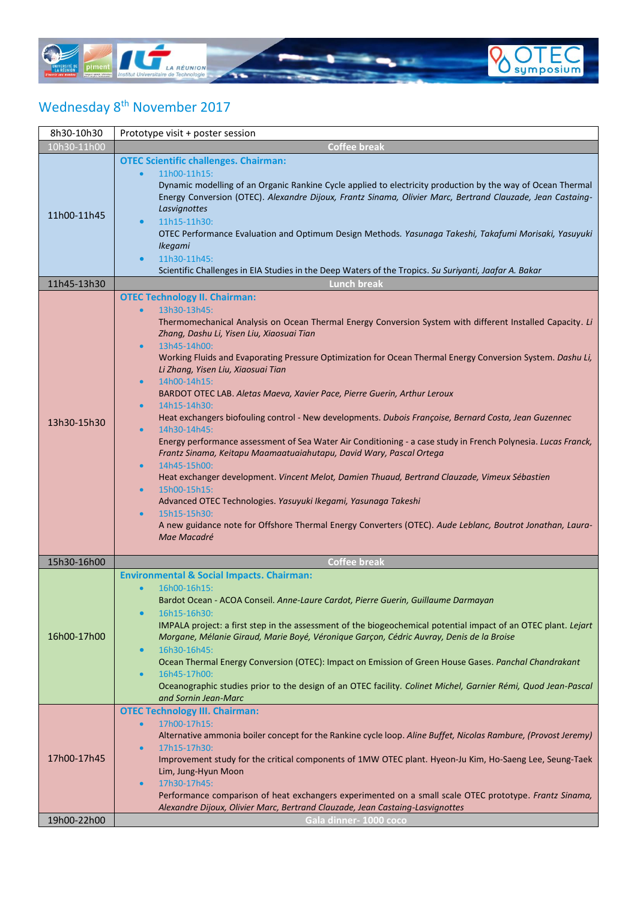

## Wednesday 8<sup>th</sup> November 2017

| 8h30-10h30                 | Prototype visit + poster session                                                                                                                                                                                                                                                                                                                                                                                                                                                                                                                                                                                                                                                                                                                                                                                                                                                                                                                                                                                                                                                                                                                                                                                   |
|----------------------------|--------------------------------------------------------------------------------------------------------------------------------------------------------------------------------------------------------------------------------------------------------------------------------------------------------------------------------------------------------------------------------------------------------------------------------------------------------------------------------------------------------------------------------------------------------------------------------------------------------------------------------------------------------------------------------------------------------------------------------------------------------------------------------------------------------------------------------------------------------------------------------------------------------------------------------------------------------------------------------------------------------------------------------------------------------------------------------------------------------------------------------------------------------------------------------------------------------------------|
| 10h30-11h00                | <b>Coffee break</b>                                                                                                                                                                                                                                                                                                                                                                                                                                                                                                                                                                                                                                                                                                                                                                                                                                                                                                                                                                                                                                                                                                                                                                                                |
| 11h00-11h45                | <b>OTEC Scientific challenges. Chairman:</b><br>11h00-11h15:<br>Dynamic modelling of an Organic Rankine Cycle applied to electricity production by the way of Ocean Thermal<br>Energy Conversion (OTEC). Alexandre Dijoux, Frantz Sinama, Olivier Marc, Bertrand Clauzade, Jean Castaing-<br>Lasvignottes<br>11h15-11h30:<br>$\bullet$<br>OTEC Performance Evaluation and Optimum Design Methods. Yasunaga Takeshi, Takafumi Morisaki, Yasuyuki<br><b>Ikegami</b><br>11h30-11h45:<br>$\bullet$<br>Scientific Challenges in EIA Studies in the Deep Waters of the Tropics. Su Suriyanti, Jaafar A. Bakar                                                                                                                                                                                                                                                                                                                                                                                                                                                                                                                                                                                                            |
| 11h45-13h30                | <b>Lunch break</b>                                                                                                                                                                                                                                                                                                                                                                                                                                                                                                                                                                                                                                                                                                                                                                                                                                                                                                                                                                                                                                                                                                                                                                                                 |
| 13h30-15h30                | <b>OTEC Technology II. Chairman:</b><br>13h30-13h45:<br>$\bullet$<br>Thermomechanical Analysis on Ocean Thermal Energy Conversion System with different Installed Capacity. Li<br>Zhang, Dashu Li, Yisen Liu, Xiaosuai Tian<br>13h45-14h00:<br>$\bullet$<br>Working Fluids and Evaporating Pressure Optimization for Ocean Thermal Energy Conversion System. Dashu Li,<br>Li Zhang, Yisen Liu, Xiaosuai Tian<br>14h00-14h15:<br>BARDOT OTEC LAB. Aletas Maeva, Xavier Pace, Pierre Guerin, Arthur Leroux<br>14h15-14h30:<br>Heat exchangers biofouling control - New developments. Dubois Françoise, Bernard Costa, Jean Guzennec<br>14h30-14h45:<br>Energy performance assessment of Sea Water Air Conditioning - a case study in French Polynesia. Lucas Franck,<br>Frantz Sinama, Keitapu Maamaatuaiahutapu, David Wary, Pascal Ortega<br>14h45-15h00:<br>Heat exchanger development. Vincent Melot, Damien Thuaud, Bertrand Clauzade, Vimeux Sébastien<br>15h00-15h15:<br>$\bullet$<br>Advanced OTEC Technologies. Yasuyuki Ikegami, Yasunaga Takeshi<br>15h15-15h30:<br>$\bullet$<br>A new guidance note for Offshore Thermal Energy Converters (OTEC). Aude Leblanc, Boutrot Jonathan, Laura-<br>Mae Macadré |
| 15h30-16h00                | <b>Coffee break</b>                                                                                                                                                                                                                                                                                                                                                                                                                                                                                                                                                                                                                                                                                                                                                                                                                                                                                                                                                                                                                                                                                                                                                                                                |
| 16h00-17h00                | <b>Environmental &amp; Social Impacts. Chairman:</b><br>16h00-16h15:<br>Bardot Ocean - ACOA Conseil. Anne-Laure Cardot, Pierre Guerin, Guillaume Darmayan<br>16h15-16h30:<br>$\bullet$<br>IMPALA project: a first step in the assessment of the biogeochemical potential impact of an OTEC plant. Lejart<br>Morgane, Mélanie Giraud, Marie Boyé, Véronique Garçon, Cédric Auvray, Denis de la Broise<br>16h30-16h45:<br>$\bullet$<br>Ocean Thermal Energy Conversion (OTEC): Impact on Emission of Green House Gases. Panchal Chandrakant<br>16h45-17h00:<br>$\bullet$<br>Oceanographic studies prior to the design of an OTEC facility. Colinet Michel, Garnier Rémi, Quod Jean-Pascal<br>and Sornin Jean-Marc                                                                                                                                                                                                                                                                                                                                                                                                                                                                                                    |
| 17h00-17h45<br>19h00-22h00 | <b>OTEC Technology III. Chairman:</b><br>17h00-17h15:<br>$\bullet$<br>Alternative ammonia boiler concept for the Rankine cycle loop. Aline Buffet, Nicolas Rambure, (Provost Jeremy)<br>17h15-17h30:<br>Improvement study for the critical components of 1MW OTEC plant. Hyeon-Ju Kim, Ho-Saeng Lee, Seung-Taek<br>Lim, Jung-Hyun Moon<br>17h30-17h45:<br>$\bullet$<br>Performance comparison of heat exchangers experimented on a small scale OTEC prototype. Frantz Sinama,<br>Alexandre Dijoux, Olivier Marc, Bertrand Clauzade, Jean Castaing-Lasvignottes<br>Gala dinner-1000 coco                                                                                                                                                                                                                                                                                                                                                                                                                                                                                                                                                                                                                            |
|                            |                                                                                                                                                                                                                                                                                                                                                                                                                                                                                                                                                                                                                                                                                                                                                                                                                                                                                                                                                                                                                                                                                                                                                                                                                    |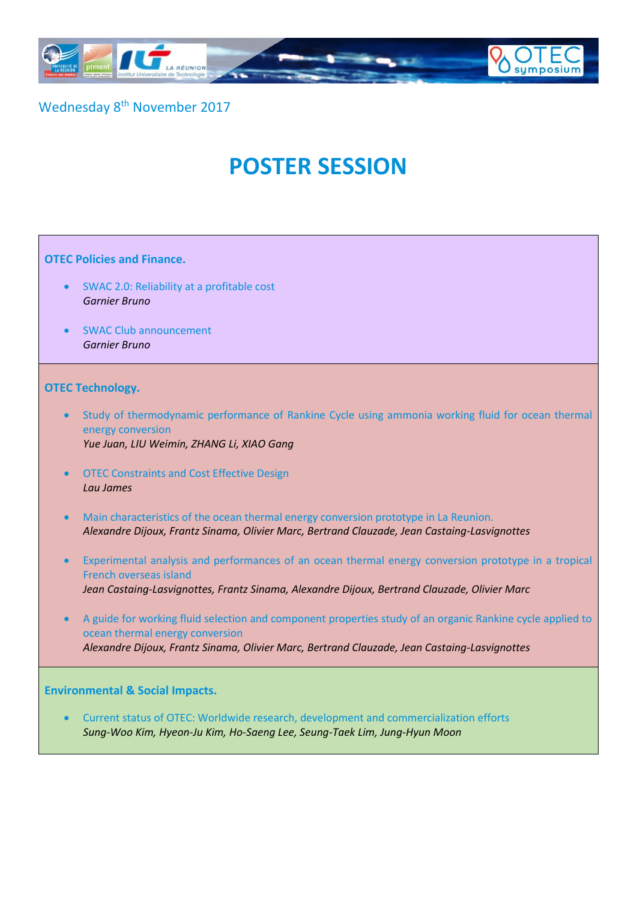

Wednesday 8<sup>th</sup> November 2017

# **POSTER SESSION**

#### **OTEC Policies and Finance.**

- SWAC 2.0: Reliability at a profitable cost *Garnier Bruno*
- SWAC Club announcement *Garnier Bruno*

#### **OTEC Technology.**

- Study of thermodynamic performance of Rankine Cycle using ammonia working fluid for ocean thermal energy conversion *Yue Juan, LIU Weimin, ZHANG Li, XIAO Gang*
- OTEC Constraints and Cost Effective Design *Lau James*
- Main characteristics of the ocean thermal energy conversion prototype in La Reunion. *Alexandre Dijoux, Frantz Sinama, Olivier Marc, Bertrand Clauzade, Jean Castaing-Lasvignottes*
- Experimental analysis and performances of an ocean thermal energy conversion prototype in a tropical French overseas island *Jean Castaing-Lasvignottes, Frantz Sinama, Alexandre Dijoux, Bertrand Clauzade, Olivier Marc*
- A guide for working fluid selection and component properties study of an organic Rankine cycle applied to ocean thermal energy conversion *Alexandre Dijoux, Frantz Sinama, Olivier Marc, Bertrand Clauzade, Jean Castaing-Lasvignottes*

#### **Environmental & Social Impacts.**

 Current status of OTEC: Worldwide research, development and commercialization efforts *Sung-Woo Kim, Hyeon-Ju Kim, Ho-Saeng Lee, Seung-Taek Lim, Jung-Hyun Moon*